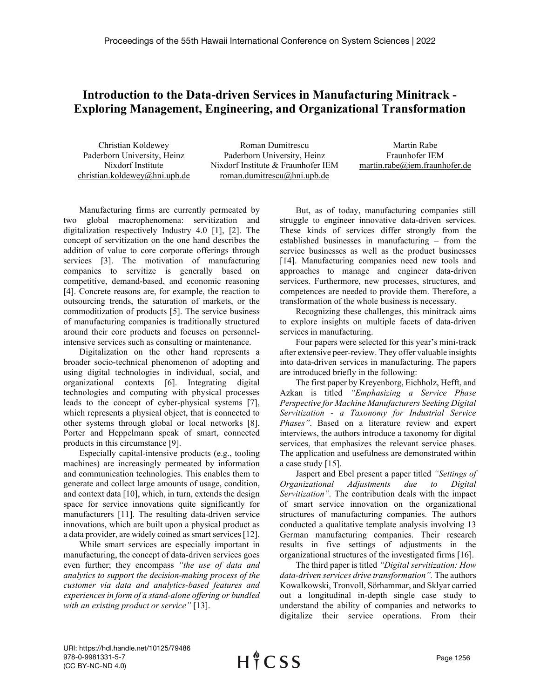## **Introduction to the Data-driven Services in Manufacturing Minitrack - Exploring Management, Engineering, and Organizational Transformation**

Christian Koldewey Paderborn University, Heinz Nixdorf Institute christian.koldewey@hni.upb.de

Roman Dumitrescu Paderborn University, Heinz Nixdorf Institute & Fraunhofer IEM roman.dumitrescu@hni.upb.de

Martin Rabe Fraunhofer IEM martin.rabe@iem.fraunhofer.de

Manufacturing firms are currently permeated by two global macrophenomena: servitization and digitalization respectively Industry 4.0 [1], [2]. The concept of servitization on the one hand describes the addition of value to core corporate offerings through services [3]. The motivation of manufacturing companies to servitize is generally based on competitive, demand-based, and economic reasoning [4]. Concrete reasons are, for example, the reaction to outsourcing trends, the saturation of markets, or the commoditization of products [5]. The service business of manufacturing companies is traditionally structured around their core products and focuses on personnelintensive services such as consulting or maintenance.

Digitalization on the other hand represents a broader socio-technical phenomenon of adopting and using digital technologies in individual, social, and organizational contexts [6]. Integrating digital technologies and computing with physical processes leads to the concept of cyber-physical systems [7], which represents a physical object, that is connected to other systems through global or local networks [8]. Porter and Heppelmann speak of smart, connected products in this circumstance [9].

Especially capital-intensive products (e.g., tooling machines) are increasingly permeated by information and communication technologies. This enables them to generate and collect large amounts of usage, condition, and context data [10], which, in turn, extends the design space for service innovations quite significantly for manufacturers [11]. The resulting data-driven service innovations, which are built upon a physical product as a data provider, are widely coined as smart services [12].

While smart services are especially important in manufacturing, the concept of data-driven services goes even further; they encompass *"the use of data and analytics to support the decision-making process of the customer via data and analytics-based features and experiences in form of a stand-alone offering or bundled with an existing product or service"* [13].

But, as of today, manufacturing companies still struggle to engineer innovative data-driven services. These kinds of services differ strongly from the established businesses in manufacturing – from the service businesses as well as the product businesses [14]. Manufacturing companies need new tools and approaches to manage and engineer data-driven services. Furthermore, new processes, structures, and competences are needed to provide them. Therefore, a transformation of the whole business is necessary.

Recognizing these challenges, this minitrack aims to explore insights on multiple facets of data-driven services in manufacturing.

Four papers were selected for this year's mini-track after extensive peer-review. They offer valuable insights into data-driven services in manufacturing. The papers are introduced briefly in the following:

The first paper by Kreyenborg, Eichholz, Hefft, and Azkan is titled *"Emphasizing a Service Phase Perspective for Machine Manufacturers Seeking Digital Servitization - a Taxonomy for Industrial Service Phases"*. Based on a literature review and expert interviews, the authors introduce a taxonomy for digital services, that emphasizes the relevant service phases. The application and usefulness are demonstrated within a case study [15].

Jaspert and Ebel present a paper titled *"Settings of Organizational Adjustments due to Digital Servitization".* The contribution deals with the impact of smart service innovation on the organizational structures of manufacturing companies. The authors conducted a qualitative template analysis involving 13 German manufacturing companies. Their research results in five settings of adjustments in the organizational structures of the investigated firms [16].

The third paper is titled *"Digital servitization: How data-driven services drive transformation".* The authors Kowalkowski, Tronvoll, Sörhammar, and Sklyar carried out a longitudinal in-depth single case study to understand the ability of companies and networks to digitalize their service operations. From their

URI: https://hdl.handle.net/10125/79486 978-0-9981331-5-7 (CC BY-NC-ND 4.0)